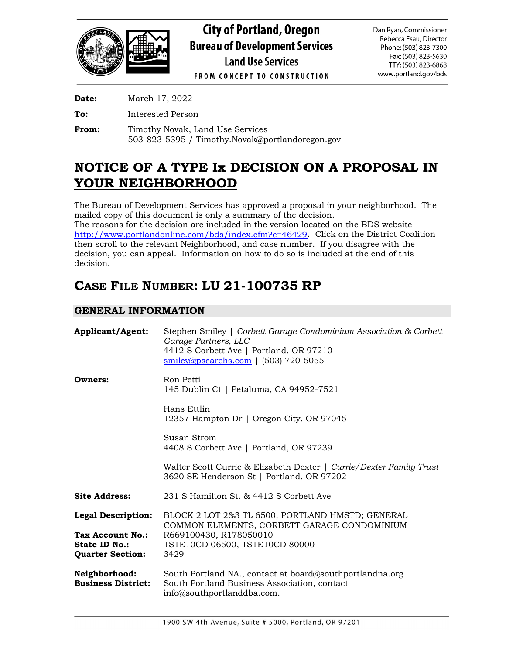

**Date:** March 17, 2022

**To:** Interested Person

**From:** Timothy Novak, Land Use Services 503-823-5395 / Timothy.Novak@portlandoregon.gov

# **NOTICE OF A TYPE Ix DECISION ON A PROPOSAL IN YOUR NEIGHBORHOOD**

The Bureau of Development Services has approved a proposal in your neighborhood. The mailed copy of this document is only a summary of the decision. The reasons for the decision are included in the version located on the BDS website

[http://www.portlandonline.com/bds/index.cfm?c=46429.](http://www.portlandonline.com/bds/index.cfm?c=46429) Click on the District Coalition then scroll to the relevant Neighborhood, and case number. If you disagree with the decision, you can appeal. Information on how to do so is included at the end of this decision.

# **CASE FILE NUMBER: LU 21-100735 RP**

# **GENERAL INFORMATION**

| <b>Applicant/Agent:</b>                                                                          | Stephen Smiley   Corbett Garage Condominium Association & Corbett<br>Garage Partners, LLC<br>4412 S Corbett Ave   Portland, OR 97210<br>$smiley@psearchs.com$   (503) 720-5055 |  |
|--------------------------------------------------------------------------------------------------|--------------------------------------------------------------------------------------------------------------------------------------------------------------------------------|--|
| Owners:                                                                                          | Ron Petti<br>145 Dublin Ct   Petaluma, CA 94952-7521                                                                                                                           |  |
|                                                                                                  | Hans Ettlin<br>12357 Hampton Dr   Oregon City, OR 97045                                                                                                                        |  |
|                                                                                                  | Susan Strom<br>4408 S Corbett Ave   Portland, OR 97239                                                                                                                         |  |
|                                                                                                  | Walter Scott Currie & Elizabeth Dexter   Currie/Dexter Family Trust<br>3620 SE Henderson St   Portland, OR 97202                                                               |  |
| <b>Site Address:</b>                                                                             | 231 S Hamilton St. & 4412 S Corbett Ave                                                                                                                                        |  |
| <b>Legal Description:</b><br>Tax Account No.:<br><b>State ID No.:</b><br><b>Quarter Section:</b> | BLOCK 2 LOT 2&3 TL 6500, PORTLAND HMSTD; GENERAL<br>COMMON ELEMENTS, CORBETT GARAGE CONDOMINIUM<br>R669100430, R178050010<br>1S1E10CD 06500, 1S1E10CD 80000<br>3429            |  |
| Neighborhood:<br><b>Business District:</b>                                                       | South Portland NA., contact at board@southportlandna.org<br>South Portland Business Association, contact<br>info@southportlanddba.com.                                         |  |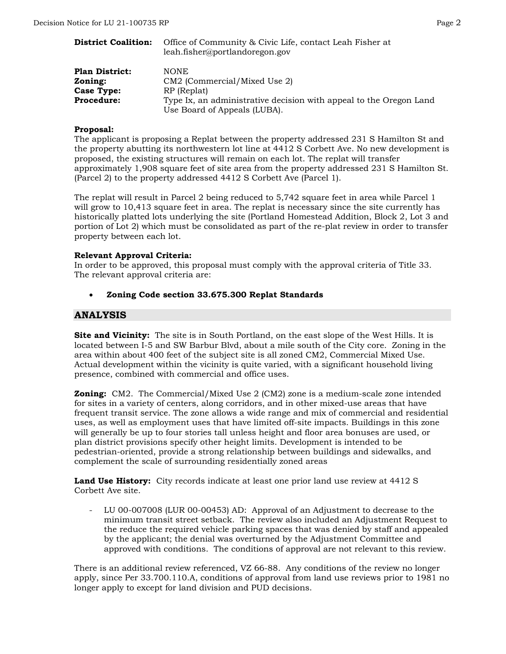| <b>District Coalition:</b> | Office of Community & Civic Life, contact Leah Fisher at<br>leah.fisher@portlandoregon.gov         |  |
|----------------------------|----------------------------------------------------------------------------------------------------|--|
| <b>Plan District:</b>      | <b>NONE</b>                                                                                        |  |
| Zoning:                    | CM2 (Commercial/Mixed Use 2)                                                                       |  |
| <b>Case Type:</b>          | RP (Replat)                                                                                        |  |
| <b>Procedure:</b>          | Type Ix, an administrative decision with appeal to the Oregon Land<br>Use Board of Appeals (LUBA). |  |

#### **Proposal:**

The applicant is proposing a Replat between the property addressed 231 S Hamilton St and the property abutting its northwestern lot line at 4412 S Corbett Ave. No new development is proposed, the existing structures will remain on each lot. The replat will transfer approximately 1,908 square feet of site area from the property addressed 231 S Hamilton St. (Parcel 2) to the property addressed 4412 S Corbett Ave (Parcel 1).

The replat will result in Parcel 2 being reduced to 5,742 square feet in area while Parcel 1 will grow to 10,413 square feet in area. The replat is necessary since the site currently has historically platted lots underlying the site (Portland Homestead Addition, Block 2, Lot 3 and portion of Lot 2) which must be consolidated as part of the re-plat review in order to transfer property between each lot.

#### **Relevant Approval Criteria:**

In order to be approved, this proposal must comply with the approval criteria of Title 33. The relevant approval criteria are:

• **Zoning Code section 33.675.300 Replat Standards**

## **ANALYSIS**

**Site and Vicinity:** The site is in South Portland, on the east slope of the West Hills. It is located between I-5 and SW Barbur Blvd, about a mile south of the City core. Zoning in the area within about 400 feet of the subject site is all zoned CM2, Commercial Mixed Use. Actual development within the vicinity is quite varied, with a significant household living presence, combined with commercial and office uses.

**Zoning:** CM2. The Commercial/Mixed Use 2 (CM2) zone is a medium-scale zone intended for sites in a variety of centers, along corridors, and in other mixed-use areas that have frequent transit service. The zone allows a wide range and mix of commercial and residential uses, as well as employment uses that have limited off-site impacts. Buildings in this zone will generally be up to four stories tall unless height and floor area bonuses are used, or plan district provisions specify other height limits. Development is intended to be pedestrian-oriented, provide a strong relationship between buildings and sidewalks, and complement the scale of surrounding residentially zoned areas

Land Use History: City records indicate at least one prior land use review at 4412 S Corbett Ave site.

- LU 00-007008 (LUR 00-00453) AD: Approval of an Adjustment to decrease to the minimum transit street setback. The review also included an Adjustment Request to the reduce the required vehicle parking spaces that was denied by staff and appealed by the applicant; the denial was overturned by the Adjustment Committee and approved with conditions. The conditions of approval are not relevant to this review.

There is an additional review referenced, VZ 66-88. Any conditions of the review no longer apply, since Per 33.700.110.A, conditions of approval from land use reviews prior to 1981 no longer apply to except for land division and PUD decisions.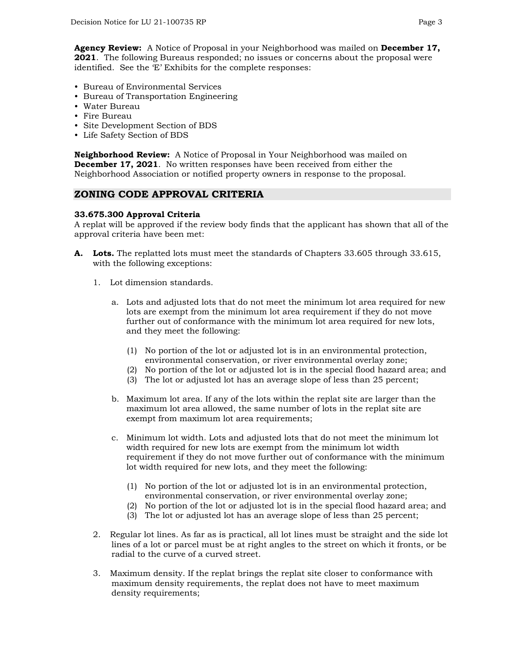**Agency Review:** A Notice of Proposal in your Neighborhood was mailed on **December 17, 2021**. The following Bureaus responded; no issues or concerns about the proposal were identified. See the 'E' Exhibits for the complete responses:

- Bureau of Environmental Services
- Bureau of Transportation Engineering
- Water Bureau
- Fire Bureau
- Site Development Section of BDS
- Life Safety Section of BDS

**Neighborhood Review:** A Notice of Proposal in Your Neighborhood was mailed on **December 17, 2021**. No written responses have been received from either the Neighborhood Association or notified property owners in response to the proposal.

#### **ZONING CODE APPROVAL CRITERIA**

#### **33.675.300 Approval Criteria**

A replat will be approved if the review body finds that the applicant has shown that all of the approval criteria have been met:

- **A. Lots.** The replatted lots must meet the standards of Chapters 33.605 through 33.615, with the following exceptions:
	- 1. Lot dimension standards.
		- a. Lots and adjusted lots that do not meet the minimum lot area required for new lots are exempt from the minimum lot area requirement if they do not move further out of conformance with the minimum lot area required for new lots, and they meet the following:
			- (1) No portion of the lot or adjusted lot is in an environmental protection, environmental conservation, or river environmental overlay zone;
			- (2) No portion of the lot or adjusted lot is in the special flood hazard area; and
			- (3) The lot or adjusted lot has an average slope of less than 25 percent;
		- b. Maximum lot area. If any of the lots within the replat site are larger than the maximum lot area allowed, the same number of lots in the replat site are exempt from maximum lot area requirements;
		- c. Minimum lot width. Lots and adjusted lots that do not meet the minimum lot width required for new lots are exempt from the minimum lot width requirement if they do not move further out of conformance with the minimum lot width required for new lots, and they meet the following:
			- (1) No portion of the lot or adjusted lot is in an environmental protection, environmental conservation, or river environmental overlay zone;
			- (2) No portion of the lot or adjusted lot is in the special flood hazard area; and
			- (3) The lot or adjusted lot has an average slope of less than 25 percent;
	- 2. Regular lot lines. As far as is practical, all lot lines must be straight and the side lot lines of a lot or parcel must be at right angles to the street on which it fronts, or be radial to the curve of a curved street.
	- 3. Maximum density. If the replat brings the replat site closer to conformance with maximum density requirements, the replat does not have to meet maximum density requirements;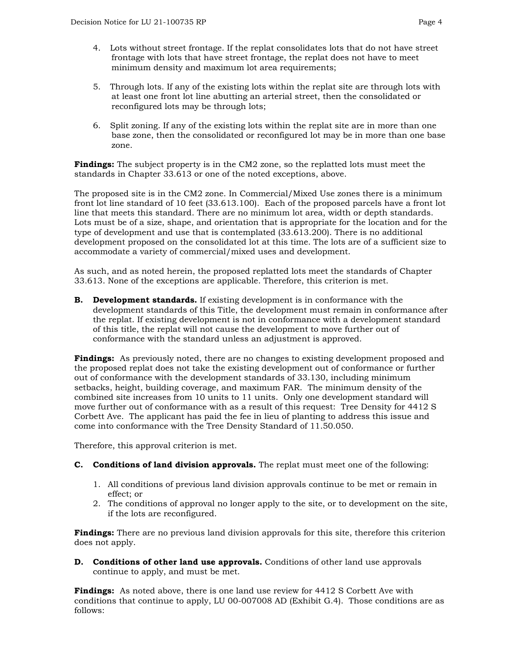- 4. Lots without street frontage. If the replat consolidates lots that do not have street frontage with lots that have street frontage, the replat does not have to meet minimum density and maximum lot area requirements;
- 5. Through lots. If any of the existing lots within the replat site are through lots with at least one front lot line abutting an arterial street, then the consolidated or reconfigured lots may be through lots;
- 6. Split zoning. If any of the existing lots within the replat site are in more than one base zone, then the consolidated or reconfigured lot may be in more than one base zone.

**Findings:** The subject property is in the CM2 zone, so the replatted lots must meet the standards in Chapter 33.613 or one of the noted exceptions, above.

The proposed site is in the CM2 zone. In Commercial/Mixed Use zones there is a minimum front lot line standard of 10 feet (33.613.100). Each of the proposed parcels have a front lot line that meets this standard. There are no minimum lot area, width or depth standards. Lots must be of a size, shape, and orientation that is appropriate for the location and for the type of development and use that is contemplated (33.613.200). There is no additional development proposed on the consolidated lot at this time. The lots are of a sufficient size to accommodate a variety of commercial/mixed uses and development.

As such, and as noted herein, the proposed replatted lots meet the standards of Chapter 33.613. None of the exceptions are applicable. Therefore, this criterion is met.

**B. Development standards.** If existing development is in conformance with the development standards of this Title, the development must remain in conformance after the replat. If existing development is not in conformance with a development standard of this title, the replat will not cause the development to move further out of conformance with the standard unless an adjustment is approved.

**Findings:** As previously noted, there are no changes to existing development proposed and the proposed replat does not take the existing development out of conformance or further out of conformance with the development standards of 33.130, including minimum setbacks, height, building coverage, and maximum FAR. The minimum density of the combined site increases from 10 units to 11 units. Only one development standard will move further out of conformance with as a result of this request: Tree Density for 4412 S Corbett Ave. The applicant has paid the fee in lieu of planting to address this issue and come into conformance with the Tree Density Standard of 11.50.050.

Therefore, this approval criterion is met.

- **C. Conditions of land division approvals.** The replat must meet one of the following:
	- 1. All conditions of previous land division approvals continue to be met or remain in effect; or
	- 2. The conditions of approval no longer apply to the site, or to development on the site, if the lots are reconfigured.

**Findings:** There are no previous land division approvals for this site, therefore this criterion does not apply.

**D. Conditions of other land use approvals.** Conditions of other land use approvals continue to apply, and must be met.

**Findings:** As noted above, there is one land use review for 4412 S Corbett Ave with conditions that continue to apply, LU 00-007008 AD (Exhibit G.4). Those conditions are as follows: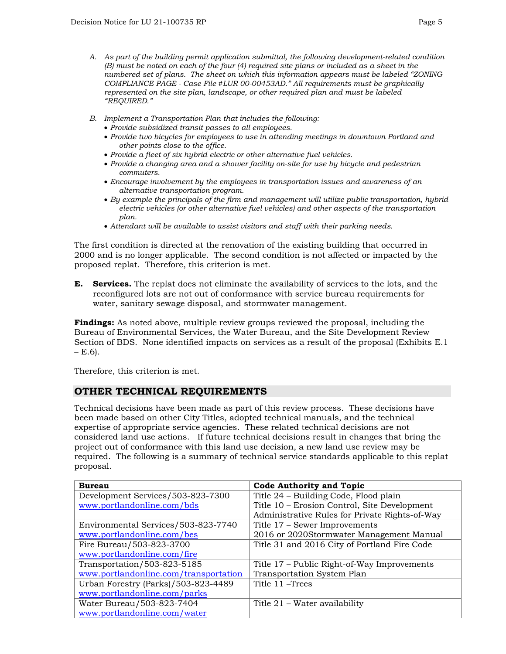- *A. As part of the building permit application submittal, the following development-related condition (B) must be noted on each of the four (4) required site plans or included as a sheet in the numbered set of plans. The sheet on which this information appears must be labeled "ZONING COMPLIANCE PAGE - Case File #LUR 00-00453AD." All requirements must be graphically represented on the site plan, landscape, or other required plan and must be labeled "REQUIRED."*
- *B. Implement a Transportation Plan that includes the following:*
	- *Provide subsidized transit passes to all employees.*
	- *Provide two bicycles for employees to use in attending meetings in downtown Portland and other points close to the office.*
	- *Provide a fleet of six hybrid electric or other alternative fuel vehicles.*
	- *Provide a changing area and a shower facility on-site for use by bicycle and pedestrian commuters.*
	- *Encourage involvement by the employees in transportation issues and awareness of an alternative transportation program.*
	- *By example the principals of the firm and management will utilize public transportation, hybrid electric vehicles (or other alternative fuel vehicles) and other aspects of the transportation plan.*
	- *Attendant will be available to assist visitors and staff with their parking needs.*

The first condition is directed at the renovation of the existing building that occurred in 2000 and is no longer applicable. The second condition is not affected or impacted by the proposed replat. Therefore, this criterion is met.

**E. Services.** The replat does not eliminate the availability of services to the lots, and the reconfigured lots are not out of conformance with service bureau requirements for water, sanitary sewage disposal, and stormwater management.

**Findings:** As noted above, multiple review groups reviewed the proposal, including the Bureau of Environmental Services, the Water Bureau, and the Site Development Review Section of BDS. None identified impacts on services as a result of the proposal (Exhibits E.1  $- E.6$ ).

Therefore, this criterion is met.

# **OTHER TECHNICAL REQUIREMENTS**

Technical decisions have been made as part of this review process. These decisions have been made based on other City Titles, adopted technical manuals, and the technical expertise of appropriate service agencies. These related technical decisions are not considered land use actions. If future technical decisions result in changes that bring the project out of conformance with this land use decision, a new land use review may be required. The following is a summary of technical service standards applicable to this replat proposal.

| <b>Bureau</b>                         | <b>Code Authority and Topic</b>                |
|---------------------------------------|------------------------------------------------|
| Development Services/503-823-7300     | Title 24 - Building Code, Flood plain          |
| www.portlandonline.com/bds            | Title 10 – Erosion Control, Site Development   |
|                                       | Administrative Rules for Private Rights-of-Way |
| Environmental Services/503-823-7740   | Title 17 – Sewer Improvements                  |
| www.portlandonline.com/bes            | 2016 or 2020Stormwater Management Manual       |
| Fire Bureau/503-823-3700              | Title 31 and 2016 City of Portland Fire Code   |
| www.portlandonline.com/fire           |                                                |
| Transportation/503-823-5185           | Title 17 – Public Right-of-Way Improvements    |
| www.portlandonline.com/transportation | <b>Transportation System Plan</b>              |
| Urban Forestry (Parks)/503-823-4489   | Title 11 – Trees                               |
| www.portlandonline.com/parks          |                                                |
| Water Bureau/503-823-7404             | Title 21 – Water availability                  |
| www.portlandonline.com/water          |                                                |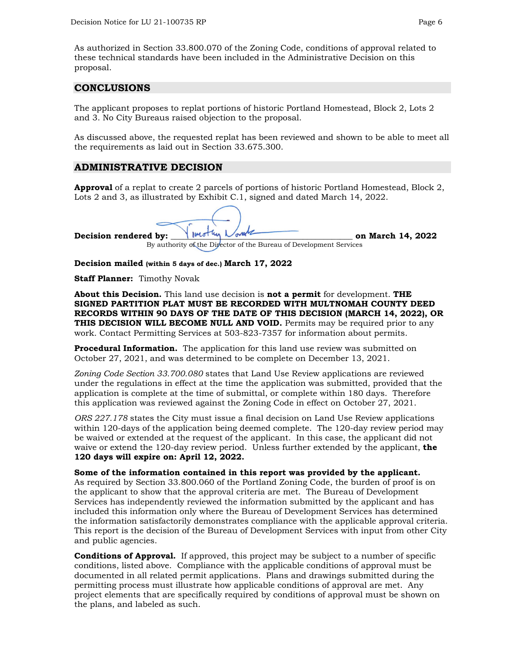As authorized in Section 33.800.070 of the Zoning Code, conditions of approval related to these technical standards have been included in the Administrative Decision on this proposal.

## **CONCLUSIONS**

The applicant proposes to replat portions of historic Portland Homestead, Block 2, Lots 2 and 3. No City Bureaus raised objection to the proposal.

As discussed above, the requested replat has been reviewed and shown to be able to meet all the requirements as laid out in Section 33.675.300.

## **ADMINISTRATIVE DECISION**

**Approval** of a replat to create 2 parcels of portions of historic Portland Homestead, Block 2, Lots 2 and 3, as illustrated by Exhibit C.1, signed and dated March 14, 2022.

**Decision rendered by:**  $\sqrt{10.00 \text{ m/s}^2}$  on March 14, 2022

By authority of the Director of the Bureau of Development Services

**Decision mailed (within 5 days of dec.) March 17, 2022**

**Staff Planner:** Timothy Novak

**About this Decision.** This land use decision is **not a permit** for development. **THE SIGNED PARTITION PLAT MUST BE RECORDED WITH MULTNOMAH COUNTY DEED RECORDS WITHIN 90 DAYS OF THE DATE OF THIS DECISION (MARCH 14, 2022), OR THIS DECISION WILL BECOME NULL AND VOID.** Permits may be required prior to any work. Contact Permitting Services at 503-823-7357 for information about permits.

**Procedural Information.** The application for this land use review was submitted on October 27, 2021, and was determined to be complete on December 13, 2021.

*Zoning Code Section 33.700.080* states that Land Use Review applications are reviewed under the regulations in effect at the time the application was submitted, provided that the application is complete at the time of submittal, or complete within 180 days. Therefore this application was reviewed against the Zoning Code in effect on October 27, 2021.

*ORS 227.178* states the City must issue a final decision on Land Use Review applications within 120-days of the application being deemed complete. The 120-day review period may be waived or extended at the request of the applicant. In this case, the applicant did not waive or extend the 120-day review period. Unless further extended by the applicant, **the 120 days will expire on: April 12, 2022.**

**Some of the information contained in this report was provided by the applicant.**  As required by Section 33.800.060 of the Portland Zoning Code, the burden of proof is on the applicant to show that the approval criteria are met. The Bureau of Development Services has independently reviewed the information submitted by the applicant and has included this information only where the Bureau of Development Services has determined the information satisfactorily demonstrates compliance with the applicable approval criteria. This report is the decision of the Bureau of Development Services with input from other City and public agencies.

**Conditions of Approval.** If approved, this project may be subject to a number of specific conditions, listed above. Compliance with the applicable conditions of approval must be documented in all related permit applications. Plans and drawings submitted during the permitting process must illustrate how applicable conditions of approval are met. Any project elements that are specifically required by conditions of approval must be shown on the plans, and labeled as such.